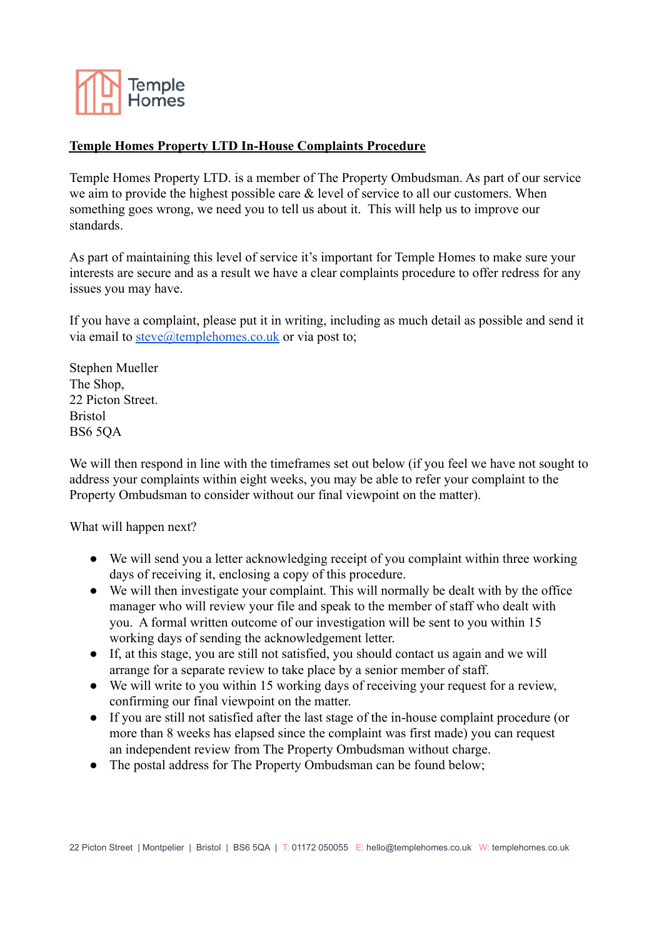

## **Temple Homes Property LTD In-House Complaints Procedure**

Temple Homes Property LTD. is a member of The Property Ombudsman. As part of our service we aim to provide the highest possible care & level of service to all our customers. When something goes wrong, we need you to tell us about it. This will help us to improve our standards.

As part of maintaining this level of service it's important for Temple Homes to make sure your interests are secure and as a result we have a clear complaints procedure to offer redress for any issues you may have.

If you have a complaint, please put it in writing, including as much detail as possible and send it via email to [steve@templehomes.co.uk](mailto:steve@templehomes.co.uk) or via post to;

Stephen Mueller The Shop, 22 Picton Street. Bristol BS6 5QA

We will then respond in line with the timeframes set out below (if you feel we have not sought to address your complaints within eight weeks, you may be able to refer your complaint to the Property Ombudsman to consider without our final viewpoint on the matter).

What will happen next?

- We will send you a letter acknowledging receipt of you complaint within three working days of receiving it, enclosing a copy of this procedure.
- We will then investigate your complaint. This will normally be dealt with by the office manager who will review your file and speak to the member of staff who dealt with you. A formal written outcome of our investigation will be sent to you within 15 working days of sending the acknowledgement letter.
- If, at this stage, you are still not satisfied, you should contact us again and we will arrange for a separate review to take place by a senior member of staff.
- We will write to you within 15 working days of receiving your request for a review, confirming our final viewpoint on the matter.
- If you are still not satisfied after the last stage of the in-house complaint procedure (or more than 8 weeks has elapsed since the complaint was first made) you can request an independent review from The Property Ombudsman without charge.
- The postal address for The Property Ombudsman can be found below;